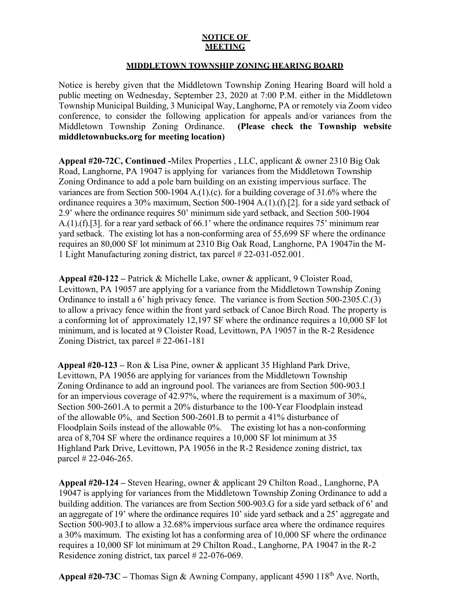## **NOTICE OF MEETING**

## **MIDDLETOWN TOWNSHIP ZONING HEARING BOARD**

Notice is hereby given that the Middletown Township Zoning Hearing Board will hold a public meeting on Wednesday, September 23, 2020 at 7:00 P.M. either in the Middletown Township Municipal Building, 3 Municipal Way, Langhorne, PA or remotely via Zoom video conference, to consider the following application for appeals and/or variances from the Middletown Township Zoning Ordinance. **(Please check the Township website middletownbucks.org for meeting location)** 

**Appeal #20-72C, Continued -**Milex Properties , LLC, applicant & owner 2310 Big Oak Road, Langhorne, PA 19047 is applying for variances from the Middletown Township Zoning Ordinance to add a pole barn building on an existing impervious surface. The variances are from Section 500-1904 A.(1).(c). for a building coverage of 31.6% where the ordinance requires a 30% maximum, Section 500-1904 A.(1).(f).[2]. for a side yard setback of 2.9' where the ordinance requires 50' minimum side yard setback, and Section 500-1904 A.(1).(f).[3]. for a rear yard setback of 66.1' where the ordinance requires 75' minimum rear yard setback. The existing lot has a non-conforming area of 55,699 SF where the ordinance requires an 80,000 SF lot minimum at 2310 Big Oak Road, Langhorne, PA 19047in the M-1 Light Manufacturing zoning district, tax parcel # 22-031-052.001.

**Appeal #20-122 –** Patrick & Michelle Lake, owner & applicant, 9 Cloister Road, Levittown, PA 19057 are applying for a variance from the Middletown Township Zoning Ordinance to install a 6' high privacy fence. The variance is from Section 500-2305.C.(3) to allow a privacy fence within the front yard setback of Canoe Birch Road. The property is a conforming lot of approximately 12,197 SF where the ordinance requires a 10,000 SF lot minimum, and is located at 9 Cloister Road, Levittown, PA 19057 in the R-2 Residence Zoning District, tax parcel # 22-061-181

**Appeal #20-123 –** Ron & Lisa Pine, owner & applicant 35 Highland Park Drive, Levittown, PA 19056 are applying for variances from the Middletown Township Zoning Ordinance to add an inground pool. The variances are from Section 500-903.I for an impervious coverage of 42.97%, where the requirement is a maximum of 30%, Section 500-2601.A to permit a 20% disturbance to the 100-Year Floodplain instead of the allowable 0%, and Section 500-2601.B to permit a 41% disturbance of Floodplain Soils instead of the allowable 0%. The existing lot has a non-conforming area of 8,704 SF where the ordinance requires a 10,000 SF lot minimum at 35 Highland Park Drive, Levittown, PA 19056 in the R-2 Residence zoning district, tax parcel # 22-046-265.

**Appeal #20-124 –** Steven Hearing, owner & applicant 29 Chilton Road., Langhorne, PA 19047 is applying for variances from the Middletown Township Zoning Ordinance to add a building addition. The variances are from Section 500-903.G for a side yard setback of 6' and an aggregate of 19' where the ordinance requires 10' side yard setback and a 25' aggregate and Section 500-903.I to allow a 32.68% impervious surface area where the ordinance requires a 30% maximum. The existing lot has a conforming area of 10,000 SF where the ordinance requires a 10,000 SF lot minimum at 29 Chilton Road., Langhorne, PA 19047 in the R-2 Residence zoning district, tax parcel # 22-076-069.

**Appeal #20-73C –** Thomas Sign & Awning Company, applicant 4590 118th Ave. North,